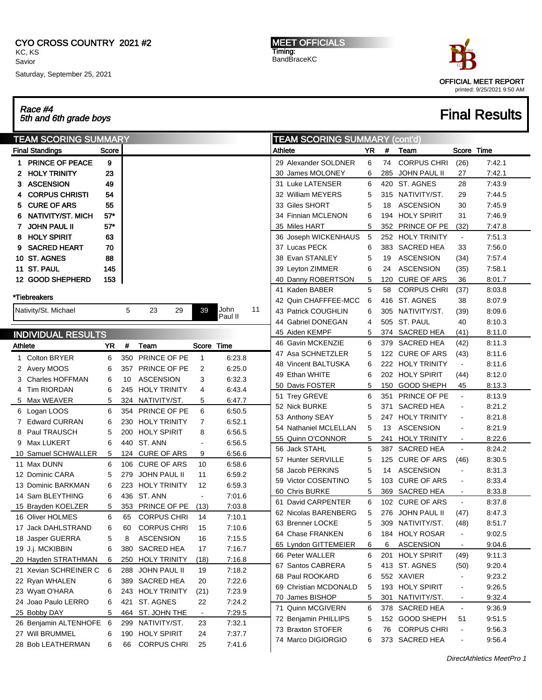#### CYO CROSS COUNTRY 2021 #2 KC, KS Savior

Saturday, September 25, 2021

MEET OFFICIALS Timing: BandBraceKC



# **Final Results**

| Race #4<br>5th and 6th grade boys |
|-----------------------------------|
| <b>TEAM SCORING SUMMARY</b>       |

| <b>TEAM SCORING SUMMARY</b> |       |     |                     |                |                 | <b>TEAM SCORING SUMMARY (cont'd)</b> |                       |     |     |                     |                |        |
|-----------------------------|-------|-----|---------------------|----------------|-----------------|--------------------------------------|-----------------------|-----|-----|---------------------|----------------|--------|
| <b>Final Standings</b>      | Score |     |                     |                |                 |                                      | Athlete               | YR. | #   | Team                | Score Time     |        |
| 1 PRINCE OF PEACE           | 9     |     |                     |                |                 |                                      | 29 Alexander SOLDNER  | 6   | 74  | <b>CORPUS CHRI</b>  | (26)           | 7:42.1 |
| <b>HOLY TRINITY</b><br>2.   | 23    |     |                     |                |                 |                                      | 30 James MOLONEY      | 6   | 285 | JOHN PAUL II        | 27             | 7:42.1 |
| <b>ASCENSION</b><br>3.      | 49    |     |                     |                |                 |                                      | 31 Luke LATENSER      | 6   | 420 | ST. AGNES           | 28             | 7:43.9 |
| <b>CORPUS CHRISTI</b>       | 54    |     |                     |                |                 |                                      | 32 William MEYERS     | 5   |     | 315 NATIVITY/ST.    | 29             | 7:44.5 |
| <b>CURE OF ARS</b><br>5     | 55    |     |                     |                |                 |                                      | 33 Giles SHORT        | 5   | 18  | <b>ASCENSION</b>    | 30             | 7:45.9 |
| NATIVITY/ST. MICH           | 57"   |     |                     |                |                 |                                      | 34 Finnian MCLENON    | 6   |     | 194 HOLY SPIRIT     | 31             | 7:46.9 |
| <b>JOHN PAUL II</b><br>7.   | $57*$ |     |                     |                |                 |                                      | 35 Miles HART         | 5   | 352 | PRINCE OF PE        | (32)           | 7:47.8 |
| <b>HOLY SPIRIT</b>          | 63    |     |                     |                |                 |                                      | 36 Joseph WICKENHAUS  | 5   |     | 252 HOLY TRINITY    | $\blacksquare$ | 7:51.3 |
| <b>SACRED HEART</b>         | 70    |     |                     |                |                 |                                      | 37 Lucas PECK         | 6   |     | 383 SACRED HEA      | 33             | 7:56.0 |
| 10 ST. AGNES                | 88    |     |                     |                |                 |                                      | 38 Evan STANLEY       | 5   | 19  | <b>ASCENSION</b>    | (34)           | 7:57.4 |
| 11 ST. PAUL                 | 145   |     |                     |                |                 |                                      | 39 Leyton ZIMMER      | 6   | 24  | <b>ASCENSION</b>    | (35)           | 7:58.1 |
| 12 GOOD SHEPHERD            | 153   |     |                     |                |                 |                                      | 40 Danny ROBERTSON    | 5   | 120 | <b>CURE OF ARS</b>  | 36             | 8:01.7 |
|                             |       |     |                     |                |                 |                                      | 41 Kaden BABER        | 5   | 58  | <b>CORPUS CHRI</b>  | (37)           | 8:03.8 |
| *Tiebreakers                |       |     |                     |                |                 |                                      | 42 Quin CHAFFFEE-MCC  | 6   |     | 416 ST. AGNES       | 38             | 8:07.9 |
| Nativity/St. Michael        |       | 5   | 23<br>29            | 39             | John<br>Paul II | 11                                   | 43 Patrick COUGHLIN   | 6   |     | 305 NATIVITY/ST.    | (39)           | 8:09.6 |
|                             |       |     |                     |                |                 |                                      | 44 Gabriel DONEGAN    | 4   |     | 505 ST. PAUL        | 40             | 8:10.3 |
| <b>INDIVIDUAL RESULTS</b>   |       |     |                     |                |                 |                                      | 45 Aiden KEMPF        | 5   |     | 374 SACRED HEA      | (41)           | 8:11.0 |
| Athlete                     | YR    | #   | Team                | Score Time     |                 |                                      | 46 Gavin MCKENZIE     | 6   |     | 379 SACRED HEA      | (42)           | 8:11.3 |
| <b>Colton BRYER</b><br>1.   | 6     | 350 | <b>PRINCE OF PE</b> | $\mathbf{1}$   | 6:23.8          |                                      | 47 Asa SCHNETZLER     | 5   |     | 122 CURE OF ARS     | (43)           | 8:11.6 |
| 2 Avery MOOS                | 6     |     | 357 PRINCE OF PE    | 2              | 6:25.0          |                                      | 48 Vincent BALTUSKA   | 6   |     | 222 HOLY TRINITY    | $\blacksquare$ | 8:11.6 |
| 3 Charles HOFFMAN           | 6     | 10  | <b>ASCENSION</b>    | 3              | 6:32.3          |                                      | 49 Ethan WHITE        | 6   |     | 202 HOLY SPIRIT     | (44)           | 8:12.0 |
| 4 Tim RIORDAN               | 6     | 245 | <b>HOLY TRINITY</b> | 4              | 6.43.4          |                                      | 50 Davis FOSTER       | 5   | 150 | <b>GOOD SHEPH</b>   | 45             | 8:13.3 |
| 5 Max WEAVER                | 5     |     | 324 NATIVITY/ST.    | 5              | 6:47.7          |                                      | 51 Trey GREVE         | 6   | 351 | PRINCE OF PE        | $\blacksquare$ | 8:13.9 |
| 6 Logan LOOS                | 6     | 354 | PRINCE OF PE        | 6              | 6:50.5          |                                      | 52 Nick BURKE         | 5   | 371 | <b>SACRED HEA</b>   |                | 8:21.2 |
| 7 Edward CURRAN             | 6     | 230 | <b>HOLY TRINITY</b> | 7              | 6:52.1          |                                      | 53 Anthony SEAY       | 5   | 247 | <b>HOLY TRINITY</b> |                | 8:21.8 |
| 8 Paul TRAUSCH              | 5     | 200 | <b>HOLY SPIRIT</b>  | 8              | 6.56.5          |                                      | 54 Nathaniel MCLELLAN | 5   | 13  | <b>ASCENSION</b>    |                | 8:21.9 |
| 9 Max LUKERT                | 6     | 440 | ST. ANN             |                | 6.56.5          |                                      | 55 Quinn O'CONNOR     | 5   | 241 | <b>HOLY TRINITY</b> |                | 8:22.6 |
| 10 Samuel SCHWALLER         | 5     |     | 124 CURE OF ARS     | 9              | 6:56.6          |                                      | 56 Jack STAHL         | 5   | 387 | <b>SACRED HEA</b>   | $\blacksquare$ | 8:24.2 |
| 11 Max DUNN                 | 6     | 106 | <b>CURE OF ARS</b>  | 10             | 6:58.6          |                                      | 57 Hunter SERVILLE    | 5   | 125 | <b>CURE OF ARS</b>  | (46)           | 8:30.5 |
| 12 Dominic CARA             | 5     | 279 | JOHN PAUL II        | 11             | 6:59.2          |                                      | 58 Jacob PERKINS      | 5   | 14  | <b>ASCENSION</b>    |                | 8:31.3 |
| 13 Dominic BARKMAN          | 6     | 223 | <b>HOLY TRINITY</b> | 12             | 6.59.3          |                                      | 59 Victor COSENTINO   | 5   |     | 103 CURE OF ARS     |                | 8:33.4 |
| 14 Sam BLEYTHING            | 6     | 436 | ST. ANN             | $\blacksquare$ | 7:01.6          |                                      | 60 Chris BURKE        | 5   | 369 | SACRED HEA          |                | 8:33.8 |
| 15 Brayden KOELZER          | 5     |     | 353 PRINCE OF PE    | (13)           | 7:03.8          |                                      | 61 David CARPENTER    | 6   |     | 102 CURE OF ARS     | $\blacksquare$ | 8:37.8 |
| 16 Oliver HOLMES            | 6     | 65  | <b>CORPUS CHRI</b>  | 14             | 7:10.1          |                                      | 62 Nicolas BARENBERG  | 5   |     | 276 JOHN PAUL II    | (47)           | 8:47.3 |
| 17 Jack DAHLSTRAND          | 6     | 60  | <b>CORPUS CHRI</b>  | 15             | 7:10.6          |                                      | 63 Brenner LOCKE      | 5   |     | 309 NATIVITY/ST.    | (48)           | 8:51.7 |
| 18 Jasper GUERRA            | 5     | 8   | <b>ASCENSION</b>    | 16             | 7:15.5          |                                      | 64 Chase FRANKEN      | 6   |     | 184 HOLY ROSAR      |                | 9:02.5 |
| 19 J.j. MCKIBBIN            | 6     | 380 | SACRED HEA          | 17             | 7:16.7          |                                      | 65 Lyndon GITTEMEIER  | 6   | 6   | ASCENSION           |                | 9:04.6 |
| 20 Hayden STRATHMAN         | 6     | 250 | <b>HOLY TRINITY</b> | (18)           | 7:16.8          |                                      | 66 Peter WALLER       | 6   |     | 201 HOLY SPIRIT     | (49)           | 9:11.3 |
| 21 Xevian SCHREINER C       | 6     |     | 288 JOHN PAUL II    | 19             | 7:18.2          |                                      | 67 Santos CABRERA     | 5   |     | 413 ST. AGNES       | (50)           | 9:20.4 |
| 22 Ryan WHALEN              | 6     |     | 389 SACRED HEA      | 20             | 7:22.6          |                                      | 68 Paul ROOKARD       | 6   |     | 552 XAVIER          |                | 9:23.2 |
| 23 Wyatt O'HARA             | 6     |     | 243 HOLY TRINITY    | (21)           | 7:23.9          |                                      | 69 Christian MCDONALD | 5   |     | 193 HOLY SPIRIT     |                | 9:26.5 |
| 24 Joao Paulo LERRO         | 6     | 421 | ST. AGNES           | 22             | 7:24.2          |                                      | 70 James BISHOP       | 5   | 301 | NATIVITY/ST.        |                | 9:32.4 |
| 25 Bobby DAY                | 5     |     | 464 ST. JOHN THE    | $\blacksquare$ | 7:29.5          |                                      | 71 Quinn MCGIVERN     | 6   | 378 | <b>SACRED HEA</b>   | $\blacksquare$ | 9:36.9 |
| 26 Benjamin ALTENHOFE 6     |       |     | 299 NATIVITY/ST.    | 23             | 7:32.1          |                                      | 72 Benjamin PHILLIPS  | 5   | 152 | GOOD SHEPH          | 51             | 9:51.5 |
| 27 Will BRUMMEL             |       |     | 190 HOLY SPIRIT     | 24             | 7:37.7          |                                      | 73 Braxton STOFER     | 6   | 76  | <b>CORPUS CHRI</b>  |                | 9:56.3 |
|                             | 6     |     |                     | 25             |                 |                                      | 74 Marco DIGIORGIO    | 6   |     | 373 SACRED HEA      |                | 9:56.4 |
| 28 Bob LEATHERMAN           | 6     | 66  | <b>CORPUS CHRI</b>  |                | 7:41.6          |                                      |                       |     |     |                     |                |        |

DirectAthletics MeetPro 1